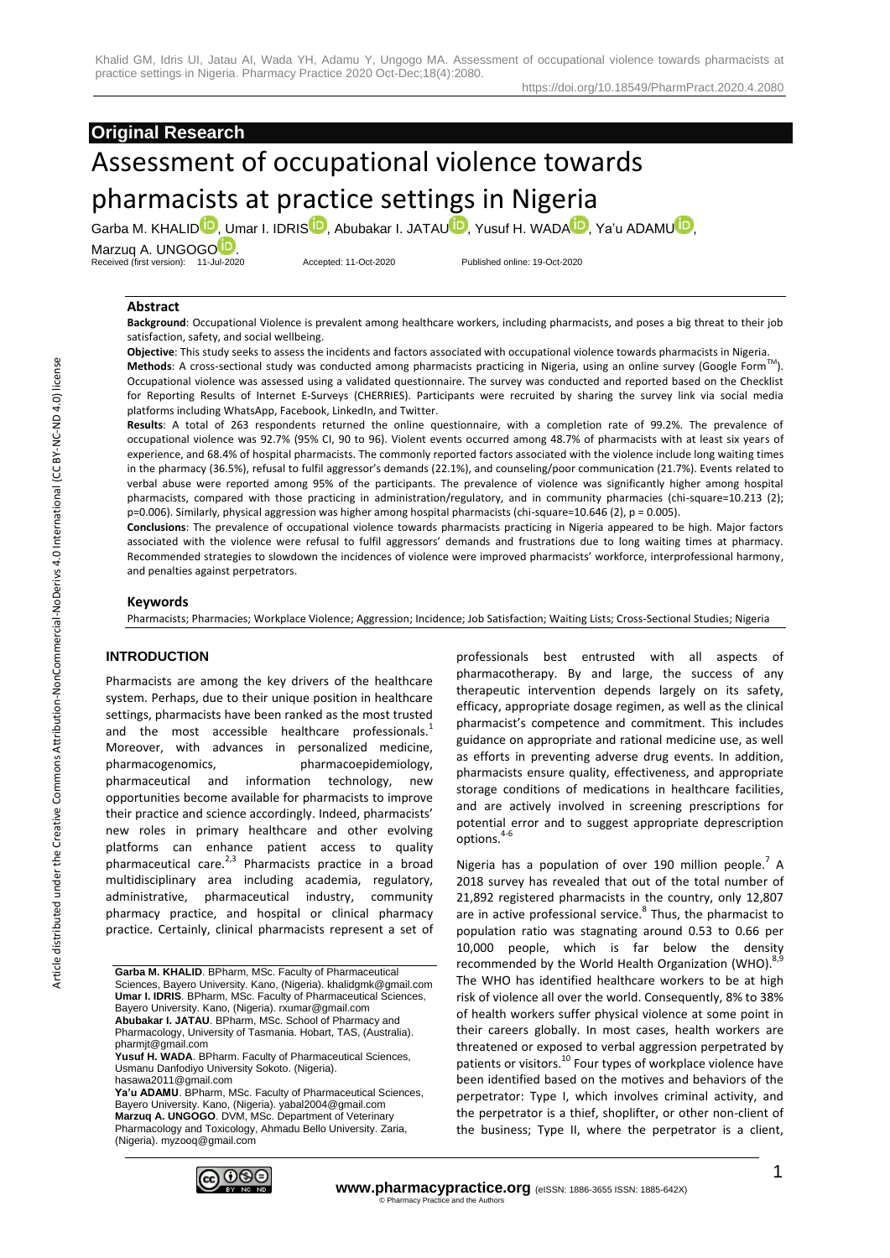#### https://doi.org/10.18549/PharmPract.2020.4.2080

# **Original Research**

# Assessment of occupational violence towards pharmacists at practice settings in Nigeria

Garba M. KHALI[D](https://orcid.org/0000-0003-4045-7702)**D**, Umar I. IDRI[S](https://orcid.org/0000-0002-2887-2877)**D**, Abubakar I. JATA[U](https://orcid.org/0000-0003-2388-1085)D, Yusuf H. W[A](https://orcid.org/0000-0001-9634-5684)DA<sup>DD</sup>, Ya'u ADAMUD, Marzuq A. UNG[O](https://orcid.org/0000-0003-4918-1423)GO<sup>1</sup>

Received (first version): 11-Jul-2020 Accepted: 11-Oct-2020 Published online: 19-Oct-2020

# **Abstract**

**Background**: Occupational Violence is prevalent among healthcare workers, including pharmacists, and poses a big threat to their job satisfaction, safety, and social wellbeing.

**Objective**: This study seeks to assess the incidents and factors associated with occupational violence towards pharmacists in Nigeria. **Methods**: A cross-sectional study was conducted among pharmacists practicing in Nigeria, using an online survey (Google FormTM). Occupational violence was assessed using a validated questionnaire. The survey was conducted and reported based on the Checklist for Reporting Results of Internet E-Surveys (CHERRIES). Participants were recruited by sharing the survey link via social media

platforms including WhatsApp, Facebook, LinkedIn, and Twitter. **Results**: A total of 263 respondents returned the online questionnaire, with a completion rate of 99.2%. The prevalence of occupational violence was 92.7% (95% CI, 90 to 96). Violent events occurred among 48.7% of pharmacists with at least six years of experience, and 68.4% of hospital pharmacists. The commonly reported factors associated with the violence include long waiting times in the pharmacy (36.5%), refusal to fulfil aggressor's demands (22.1%), and counseling/poor communication (21.7%). Events related to verbal abuse were reported among 95% of the participants. The prevalence of violence was significantly higher among hospital pharmacists, compared with those practicing in administration/regulatory, and in community pharmacies (chi-square=10.213 (2); p=0.006). Similarly, physical aggression was higher among hospital pharmacists (chi-square=10.646 (2), p = 0.005).

**Conclusions**: The prevalence of occupational violence towards pharmacists practicing in Nigeria appeared to be high. Major factors associated with the violence were refusal to fulfil aggressors' demands and frustrations due to long waiting times at pharmacy. Recommended strategies to slowdown the incidences of violence were improved pharmacists' workforce, interprofessional harmony, and penalties against perpetrators.

#### **Keywords**

Pharmacists; Pharmacies; Workplace Violence; Aggression; Incidence; Job Satisfaction; Waiting Lists; Cross-Sectional Studies; Nigeria

# **INTRODUCTION**

Pharmacists are among the key drivers of the healthcare system. Perhaps, due to their unique position in healthcare settings, pharmacists have been ranked as the most trusted and the most accessible healthcare professionals.<sup>1</sup> Moreover, with advances in personalized medicine, pharmacogenomics, pharmacoepidemiology, pharmaceutical and information technology, new opportunities become available for pharmacists to improve their practice and science accordingly. Indeed, pharmacists' new roles in primary healthcare and other evolving platforms can enhance patient access to quality pharmaceutical care.<sup>2,3</sup> Pharmacists practice in a broad multidisciplinary area including academia, regulatory, administrative, pharmaceutical industry, community pharmacy practice, and hospital or clinical pharmacy practice. Certainly, clinical pharmacists represent a set of

Ya'u ADAMU. BPharm, MSc. Faculty of Pharmaceutical Sciences, Bayero University. Kano, (Nigeria). yabal2004@gmail.com **Marzuq A. UNGOGO**. DVM, MSc. Department of Veterinary Pharmacology and Toxicology, Ahmadu Bello University. Zaria, (Nigeria). myzooq@gmail.com



professionals best entrusted with all aspects of pharmacotherapy. By and large, the success of any therapeutic intervention depends largely on its safety, efficacy, appropriate dosage regimen, as well as the clinical pharmacist's competence and commitment. This includes guidance on appropriate and rational medicine use, as well as efforts in preventing adverse drug events. In addition, pharmacists ensure quality, effectiveness, and appropriate storage conditions of medications in healthcare facilities, and are actively involved in screening prescriptions for potential error and to suggest appropriate deprescription options.<sup>4-6</sup>

Nigeria has a population of over 190 million people.<sup>7</sup> A 2018 survey has revealed that out of the total number of 21,892 registered pharmacists in the country, only 12,807 are in active professional service.<sup>8</sup> Thus, the pharmacist to population ratio was stagnating around 0.53 to 0.66 per 10,000 people, which is far below the density recommended by the World Health Organization (WHO).<sup>8,9</sup> The WHO has identified healthcare workers to be at high risk of violence all over the world. Consequently, 8% to 38% of health workers suffer physical violence at some point in their careers globally. In most cases, health workers are threatened or exposed to verbal aggression perpetrated by patients or visitors.<sup>10</sup> Four types of workplace violence have been identified based on the motives and behaviors of the perpetrator: Type I, which involves criminal activity, and the perpetrator is a thief, shoplifter, or other non-client of the business; Type II, where the perpetrator is a client,

**Garba M. KHALID**. BPharm, MSc. Faculty of Pharmaceutical Sciences, Bayero University. Kano, (Nigeria). khalidgmk@gmail.com **Umar I. IDRIS**. BPharm, MSc. Faculty of Pharmaceutical Sciences, Bayero University. Kano, (Nigeria). rxumar@gmail.com **Abubakar I. JATAU**. BPharm, MSc. School of Pharmacy and Pharmacology, University of Tasmania. Hobart, TAS, (Australia). pharmjt@gmail.com **Yusuf H. WADA**. BPharm. Faculty of Pharmaceutical Sciences,

Usmanu Danfodiyo University Sokoto. (Nigeria). hasawa2011@gmail.com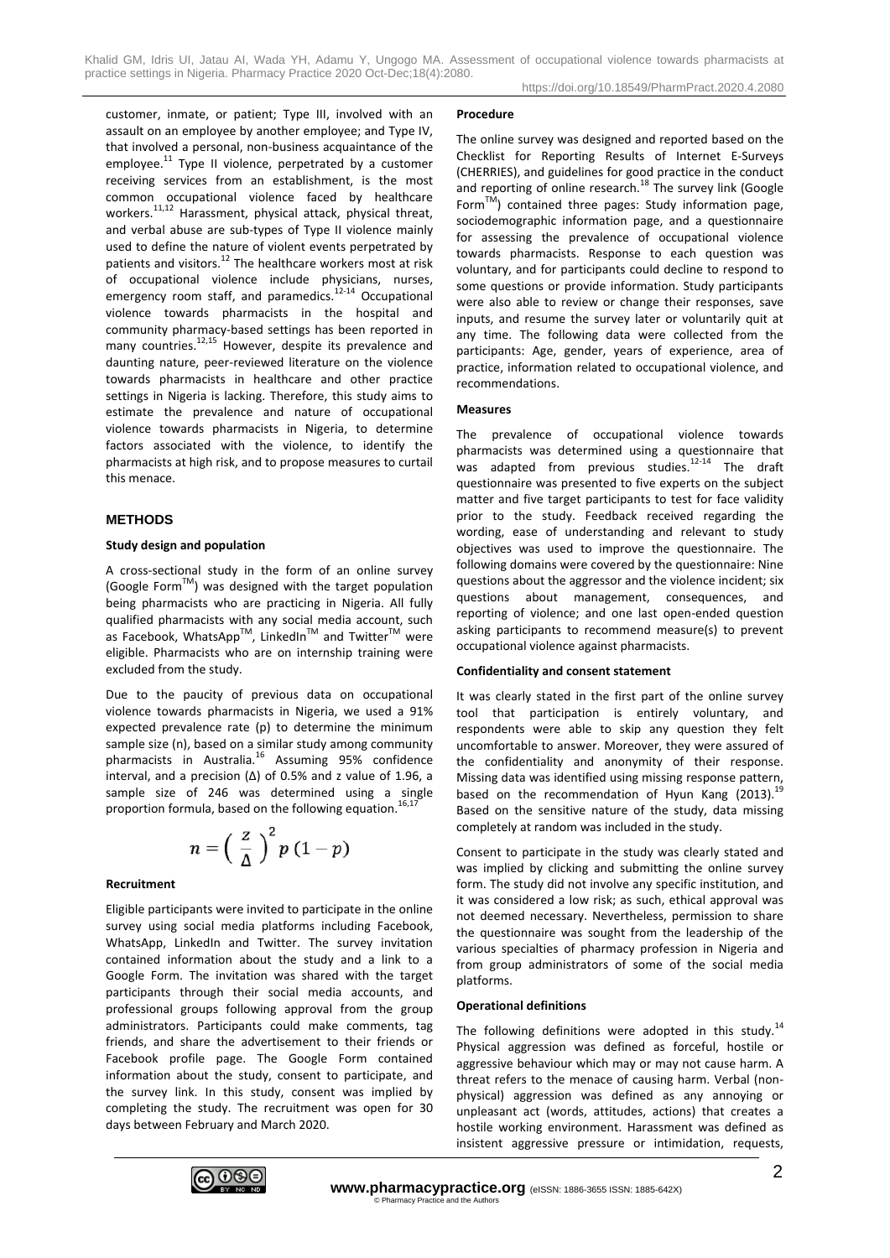Khalid GM, Idris UI, Jatau AI, Wada YH, Adamu Y, Ungogo MA. Assessment of occupational violence towards pharmacists at practice settings in Nigeria. Pharmacy Practice 2020 Oct-Dec;18(4):2080.

customer, inmate, or patient; Type III, involved with an assault on an employee by another employee; and Type IV, that involved a personal, non-business acquaintance of the employee.<sup>11</sup> Type II violence, perpetrated by a customer receiving services from an establishment, is the most common occupational violence faced by healthcare workers.<sup>11,12</sup> Harassment, physical attack, physical threat, and verbal abuse are sub-types of Type II violence mainly used to define the nature of violent events perpetrated by patients and visitors.<sup>12</sup> The healthcare workers most at risk of occupational violence include physicians, nurses, emergency room staff, and paramedics.<sup>12-14</sup> Occupational violence towards pharmacists in the hospital and community pharmacy-based settings has been reported in many countries.<sup>12,15</sup> However, despite its prevalence and daunting nature, peer-reviewed literature on the violence towards pharmacists in healthcare and other practice settings in Nigeria is lacking. Therefore, this study aims to estimate the prevalence and nature of occupational violence towards pharmacists in Nigeria, to determine factors associated with the violence, to identify the pharmacists at high risk, and to propose measures to curtail this menace.

# **METHODS**

#### **Study design and population**

A cross-sectional study in the form of an online survey (Google FormTM) was designed with the target population being pharmacists who are practicing in Nigeria. All fully qualified pharmacists with any social media account, such as Facebook, WhatsApp $^{TM}$ , LinkedIn<sup>TM</sup> and Twitter<sup>TM</sup> were eligible. Pharmacists who are on internship training were excluded from the study.

Due to the paucity of previous data on occupational violence towards pharmacists in Nigeria, we used a 91% expected prevalence rate (p) to determine the minimum sample size (n), based on a similar study among community pharmacists in Australia.<sup>16</sup> Assuming 95% confidence interval, and a precision (Δ) of 0.5% and z value of 1.96, a sample size of 246 was determined using a single proportion formula, based on the following equation.<sup>16,1</sup>

$$
n=\left(\frac{z}{\Delta}\right)^2p(1-p)
$$

#### **Recruitment**

Eligible participants were invited to participate in the online survey using social media platforms including Facebook, WhatsApp, LinkedIn and Twitter. The survey invitation contained information about the study and a link to a Google Form. The invitation was shared with the target participants through their social media accounts, and professional groups following approval from the group administrators. Participants could make comments, tag friends, and share the advertisement to their friends or Facebook profile page. The Google Form contained information about the study, consent to participate, and the survey link. In this study, consent was implied by completing the study. The recruitment was open for 30 days between February and March 2020.

#### **Procedure**

The online survey was designed and reported based on the Checklist for Reporting Results of Internet E-Surveys (CHERRIES), and guidelines for good practice in the conduct and reporting of online research.<sup>18</sup> The survey link (Google Form<sup>TM</sup>) contained three pages: Study information page, sociodemographic information page, and a questionnaire for assessing the prevalence of occupational violence towards pharmacists. Response to each question was voluntary, and for participants could decline to respond to some questions or provide information. Study participants were also able to review or change their responses, save inputs, and resume the survey later or voluntarily quit at any time. The following data were collected from the participants: Age, gender, years of experience, area of practice, information related to occupational violence, and recommendations.

#### **Measures**

The prevalence of occupational violence towards pharmacists was determined using a questionnaire that was adapted from previous studies. $12-14$  The draft questionnaire was presented to five experts on the subject matter and five target participants to test for face validity prior to the study. Feedback received regarding the wording, ease of understanding and relevant to study objectives was used to improve the questionnaire. The following domains were covered by the questionnaire: Nine questions about the aggressor and the violence incident; six questions about management, consequences, and reporting of violence; and one last open-ended question asking participants to recommend measure(s) to prevent occupational violence against pharmacists.

#### **Confidentiality and consent statement**

It was clearly stated in the first part of the online survey tool that participation is entirely voluntary, and respondents were able to skip any question they felt uncomfortable to answer. Moreover, they were assured of the confidentiality and anonymity of their response. Missing data was identified using missing response pattern, based on the recommendation of Hyun Kang (2013).<sup>19</sup> Based on the sensitive nature of the study, data missing completely at random was included in the study.

Consent to participate in the study was clearly stated and was implied by clicking and submitting the online survey form. The study did not involve any specific institution, and it was considered a low risk; as such, ethical approval was not deemed necessary. Nevertheless, permission to share the questionnaire was sought from the leadership of the various specialties of pharmacy profession in Nigeria and from group administrators of some of the social media platforms.

#### **Operational definitions**

The following definitions were adopted in this study.<sup>14</sup> Physical aggression was defined as forceful, hostile or aggressive behaviour which may or may not cause harm. A threat refers to the menace of causing harm. Verbal (nonphysical) aggression was defined as any annoying or unpleasant act (words, attitudes, actions) that creates a hostile working environment. Harassment was defined as insistent aggressive pressure or intimidation, requests,

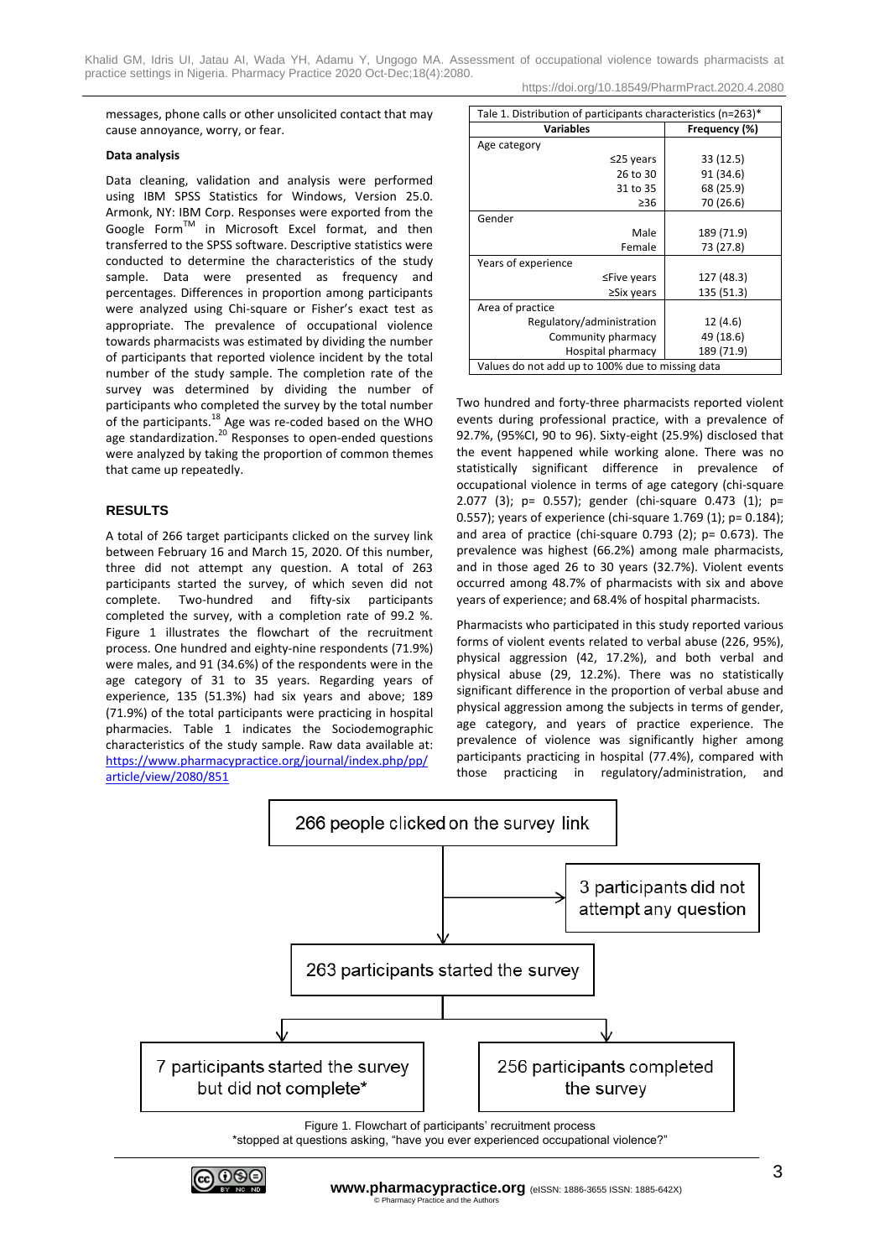https://doi.org/10.18549/PharmPract.2020.4.2080

messages, phone calls or other unsolicited contact that may cause annoyance, worry, or fear.

# **Data analysis**

Data cleaning, validation and analysis were performed using IBM SPSS Statistics for Windows, Version 25.0. Armonk, NY: IBM Corp. Responses were exported from the Google Form™ in Microsoft Excel format, and then transferred to the SPSS software. Descriptive statistics were conducted to determine the characteristics of the study sample. Data were presented as frequency and percentages. Differences in proportion among participants were analyzed using Chi-square or Fisher's exact test as appropriate. The prevalence of occupational violence towards pharmacists was estimated by dividing the number of participants that reported violence incident by the total number of the study sample. The completion rate of the survey was determined by dividing the number of participants who completed the survey by the total number of the participants.<sup>18</sup> Age was re-coded based on the WHO age standardization.<sup>20</sup> Responses to open-ended questions were analyzed by taking the proportion of common themes that came up repeatedly.

# **RESULTS**

A total of 266 target participants clicked on the survey link between February 16 and March 15, 2020. Of this number, three did not attempt any question. A total of 263 participants started the survey, of which seven did not complete. Two-hundred and fifty-six participants completed the survey, with a completion rate of 99.2 %. Figure 1 illustrates the flowchart of the recruitment process. One hundred and eighty-nine respondents (71.9%) were males, and 91 (34.6%) of the respondents were in the age category of 31 to 35 years. Regarding years of experience, 135 (51.3%) had six years and above; 189 (71.9%) of the total participants were practicing in hospital pharmacies. Table 1 indicates the Sociodemographic characteristics of the study sample. Raw data available at: [https://www.pharmacypractice.org/journal/index.php/pp/](https://www.pharmacypractice.org/journal/index.php/pp/article/view/2080/851) [article/view/2080/851](https://www.pharmacypractice.org/journal/index.php/pp/article/view/2080/851)

| Tale 1. Distribution of participants characteristics (n=263)* |               |  |  |  |
|---------------------------------------------------------------|---------------|--|--|--|
| <b>Variables</b>                                              | Frequency (%) |  |  |  |
| Age category                                                  |               |  |  |  |
| $\leq$ 25 years                                               | 33 (12.5)     |  |  |  |
| 26 to 30                                                      | 91 (34.6)     |  |  |  |
| 31 to 35                                                      | 68 (25.9)     |  |  |  |
| $\geq$ 36                                                     | 70 (26.6)     |  |  |  |
| Gender                                                        |               |  |  |  |
| Male                                                          | 189 (71.9)    |  |  |  |
| Female                                                        | 73 (27.8)     |  |  |  |
| Years of experience                                           |               |  |  |  |
| $\leq$ Five years                                             | 127 (48.3)    |  |  |  |
| $\geq$ Six years                                              | 135 (51.3)    |  |  |  |
| Area of practice                                              |               |  |  |  |
| Regulatory/administration                                     | 12 (4.6)      |  |  |  |
| Community pharmacy                                            | 49 (18.6)     |  |  |  |
| Hospital pharmacy                                             | 189 (71.9)    |  |  |  |
| Values do not add up to 100% due to missing data              |               |  |  |  |

Two hundred and forty-three pharmacists reported violent events during professional practice, with a prevalence of 92.7%, (95%CI, 90 to 96). Sixty-eight (25.9%) disclosed that the event happened while working alone. There was no statistically significant difference in prevalence of occupational violence in terms of age category (chi-square 2.077 (3); p= 0.557); gender (chi-square 0.473 (1); p= 0.557); years of experience (chi-square 1.769 (1); p= 0.184); and area of practice (chi-square 0.793 (2); p= 0.673). The prevalence was highest (66.2%) among male pharmacists, and in those aged 26 to 30 years (32.7%). Violent events occurred among 48.7% of pharmacists with six and above years of experience; and 68.4% of hospital pharmacists.

Pharmacists who participated in this study reported various forms of violent events related to verbal abuse (226, 95%), physical aggression (42, 17.2%), and both verbal and physical abuse (29, 12.2%). There was no statistically significant difference in the proportion of verbal abuse and physical aggression among the subjects in terms of gender, age category, and years of practice experience. The prevalence of violence was significantly higher among participants practicing in hospital (77.4%), compared with those practicing in regulatory/administration, and



\*stopped at questions asking, "have you ever experienced occupational violence?"

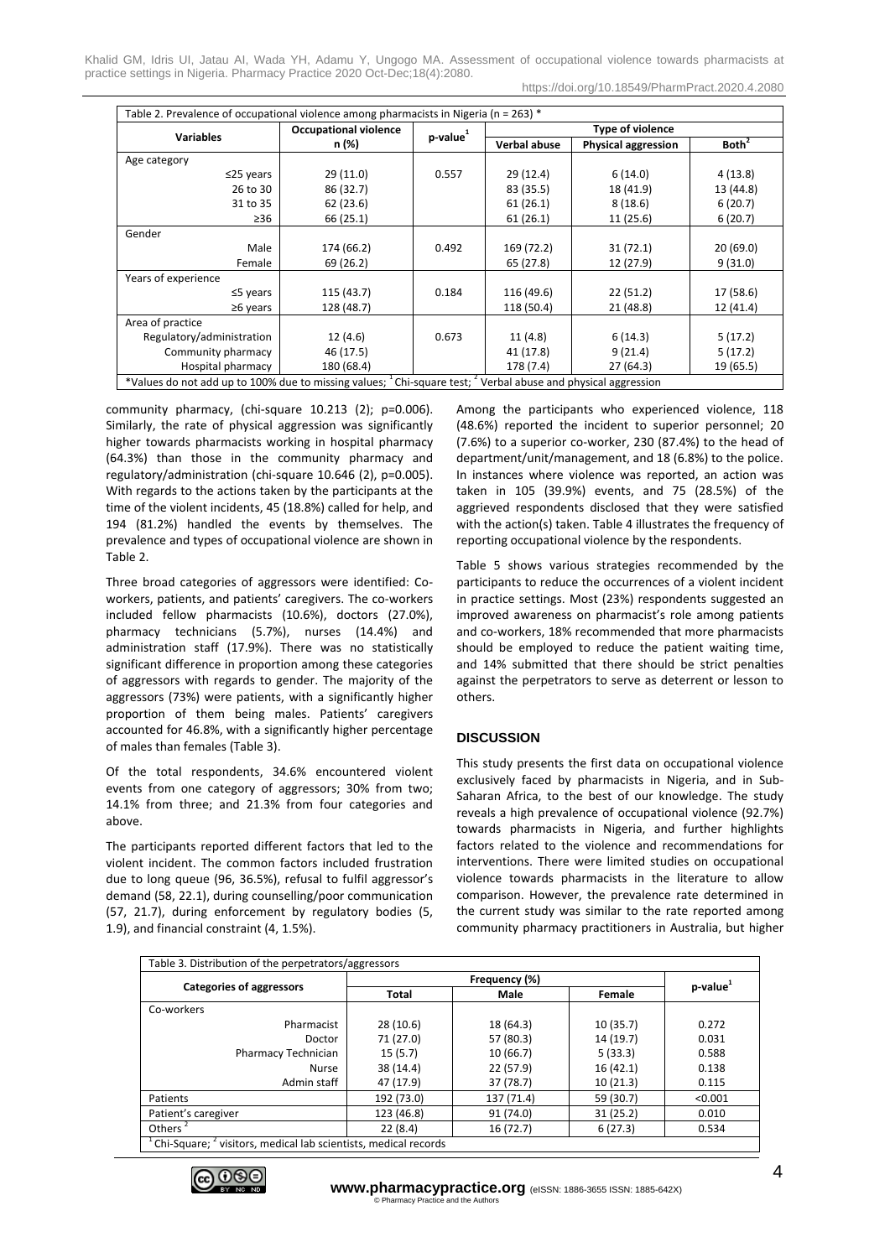Khalid GM, Idris UI, Jatau AI, Wada YH, Adamu Y, Ungogo MA. Assessment of occupational violence towards pharmacists at practice settings in Nigeria. Pharmacy Practice 2020 Oct-Dec;18(4):2080.

https://doi.org/10.18549/PharmPract.2020.4.2080

| Table 2. Prevalence of occupational violence among pharmacists in Nigeria ( $n = 263$ ) *                                            |                              |                |                     |                            |                   |  |
|--------------------------------------------------------------------------------------------------------------------------------------|------------------------------|----------------|---------------------|----------------------------|-------------------|--|
|                                                                                                                                      | <b>Occupational violence</b> | $p$ -value $1$ | Type of violence    |                            |                   |  |
| <b>Variables</b>                                                                                                                     | n (%)                        |                | <b>Verbal abuse</b> | <b>Physical aggression</b> | Both <sup>2</sup> |  |
| Age category                                                                                                                         |                              |                |                     |                            |                   |  |
| $\leq$ 25 years                                                                                                                      | 29 (11.0)                    | 0.557          | 29 (12.4)           | 6(14.0)                    | 4(13.8)           |  |
| 26 to 30                                                                                                                             | 86 (32.7)                    |                | 83 (35.5)           | 18 (41.9)                  | 13 (44.8)         |  |
| 31 to 35                                                                                                                             | 62 (23.6)                    |                | 61(26.1)            | 8(18.6)                    | 6(20.7)           |  |
| $\geq 36$                                                                                                                            | 66 (25.1)                    |                | 61(26.1)            | 11 (25.6)                  | 6(20.7)           |  |
| Gender                                                                                                                               |                              |                |                     |                            |                   |  |
| Male                                                                                                                                 | 174 (66.2)                   | 0.492          | 169 (72.2)          | 31(72.1)                   | 20(69.0)          |  |
| Female                                                                                                                               | 69 (26.2)                    |                | 65 (27.8)           | 12 (27.9)                  | 9(31.0)           |  |
| Years of experience                                                                                                                  |                              |                |                     |                            |                   |  |
| $\leq$ 5 years                                                                                                                       | 115 (43.7)                   | 0.184          | 116 (49.6)          | 22(51.2)                   | 17 (58.6)         |  |
| $\geq 6$ years                                                                                                                       | 128 (48.7)                   |                | 118 (50.4)          | 21 (48.8)                  | 12 (41.4)         |  |
| Area of practice                                                                                                                     |                              |                |                     |                            |                   |  |
| Regulatory/administration                                                                                                            | 12(4.6)                      | 0.673          | 11(4.8)             | 6(14.3)                    | 5(17.2)           |  |
| Community pharmacy                                                                                                                   | 46 (17.5)                    |                | 41 (17.8)           | 9(21.4)                    | 5(17.2)           |  |
| Hospital pharmacy                                                                                                                    | 180 (68.4)                   |                | 178 (7.4)           | 27 (64.3)                  | 19 (65.5)         |  |
| *Values do not add up to 100% due to missing values; <sup>1</sup> Chi-square test; <sup>2</sup> Verbal abuse and physical aggression |                              |                |                     |                            |                   |  |

community pharmacy, (chi-square 10.213 (2); p=0.006). Similarly, the rate of physical aggression was significantly higher towards pharmacists working in hospital pharmacy (64.3%) than those in the community pharmacy and regulatory/administration (chi-square 10.646 (2), p=0.005). With regards to the actions taken by the participants at the time of the violent incidents, 45 (18.8%) called for help, and 194 (81.2%) handled the events by themselves. The prevalence and types of occupational violence are shown in Table 2.

Three broad categories of aggressors were identified: Coworkers, patients, and patients' caregivers. The co-workers included fellow pharmacists (10.6%), doctors (27.0%), pharmacy technicians (5.7%), nurses (14.4%) and administration staff (17.9%). There was no statistically significant difference in proportion among these categories of aggressors with regards to gender. The majority of the aggressors (73%) were patients, with a significantly higher proportion of them being males. Patients' caregivers accounted for 46.8%, with a significantly higher percentage of males than females (Table 3).

Of the total respondents, 34.6% encountered violent events from one category of aggressors; 30% from two; 14.1% from three; and 21.3% from four categories and above.

The participants reported different factors that led to the violent incident. The common factors included frustration due to long queue (96, 36.5%), refusal to fulfil aggressor's demand (58, 22.1), during counselling/poor communication (57, 21.7), during enforcement by regulatory bodies (5, 1.9), and financial constraint (4, 1.5%).

Among the participants who experienced violence, 118 (48.6%) reported the incident to superior personnel; 20 (7.6%) to a superior co-worker, 230 (87.4%) to the head of department/unit/management, and 18 (6.8%) to the police. In instances where violence was reported, an action was taken in 105 (39.9%) events, and 75 (28.5%) of the aggrieved respondents disclosed that they were satisfied with the action(s) taken. Table 4 illustrates the frequency of reporting occupational violence by the respondents.

Table 5 shows various strategies recommended by the participants to reduce the occurrences of a violent incident in practice settings. Most (23%) respondents suggested an improved awareness on pharmacist's role among patients and co-workers, 18% recommended that more pharmacists should be employed to reduce the patient waiting time, and 14% submitted that there should be strict penalties against the perpetrators to serve as deterrent or lesson to others.

# **DISCUSSION**

This study presents the first data on occupational violence exclusively faced by pharmacists in Nigeria, and in Sub-Saharan Africa, to the best of our knowledge. The study reveals a high prevalence of occupational violence (92.7%) towards pharmacists in Nigeria, and further highlights factors related to the violence and recommendations for interventions. There were limited studies on occupational violence towards pharmacists in the literature to allow comparison. However, the prevalence rate determined in the current study was similar to the rate reported among community pharmacy practitioners in Australia, but higher

| Table 3. Distribution of the perpetrators/aggressors                                    |                      |                      |           |         |  |
|-----------------------------------------------------------------------------------------|----------------------|----------------------|-----------|---------|--|
|                                                                                         |                      | p-value <sup>1</sup> |           |         |  |
| <b>Categories of aggressors</b>                                                         | <b>Total</b><br>Male |                      | Female    |         |  |
| Co-workers                                                                              |                      |                      |           |         |  |
| Pharmacist                                                                              | 28 (10.6)            | 18 (64.3)            | 10(35.7)  | 0.272   |  |
| Doctor                                                                                  | 71 (27.0)            | 57 (80.3)            | 14 (19.7) | 0.031   |  |
| Pharmacy Technician                                                                     | 15(5.7)              | 10 (66.7)            | 5(33.3)   | 0.588   |  |
| Nurse                                                                                   | 38 (14.4)            | 22 (57.9)            | 16(42.1)  | 0.138   |  |
| Admin staff                                                                             | 47 (17.9)            | 37 (78.7)            | 10(21.3)  | 0.115   |  |
| Patients                                                                                | 192 (73.0)           | 137 (71.4)           | 59 (30.7) | < 0.001 |  |
| Patient's caregiver                                                                     | 123 (46.8)           | 91 (74.0)            | 31 (25.2) | 0.010   |  |
| Others <sup>2</sup>                                                                     | 22(8.4)              | 16 (72.7)            | 6(27.3)   | 0.534   |  |
| <sup>1</sup> Chi-Square; <sup>2</sup> visitors, medical lab scientists, medical records |                      |                      |           |         |  |

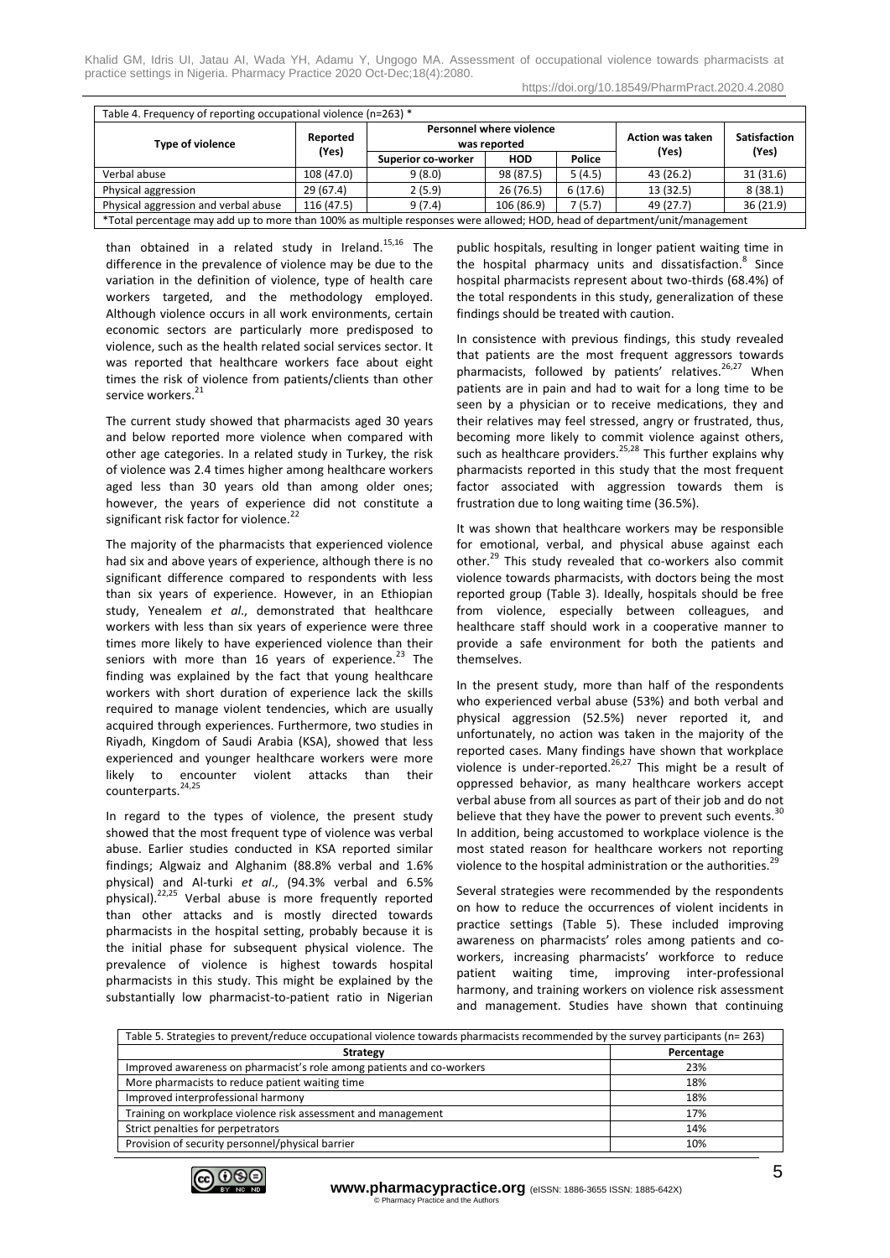Khalid GM, Idris UI, Jatau AI, Wada YH, Adamu Y, Ungogo MA. Assessment of occupational violence towards pharmacists at practice settings in Nigeria. Pharmacy Practice 2020 Oct-Dec;18(4):2080.

| Table 4. Frequency of reporting occupational violence (n=263) *                                                            |                   |                                          |            |         |                         |                     |
|----------------------------------------------------------------------------------------------------------------------------|-------------------|------------------------------------------|------------|---------|-------------------------|---------------------|
| Type of violence                                                                                                           | Reported<br>(Yes) | Personnel where violence<br>was reported |            |         | <b>Action was taken</b> | <b>Satisfaction</b> |
|                                                                                                                            |                   | Superior co-worker                       | <b>HOD</b> | Police  | (Yes)                   | (Yes)               |
| Verbal abuse                                                                                                               | 108 (47.0)        | 9(8.0)                                   | 98 (87.5)  | 5(4.5)  | 43 (26.2)               | 31(31.6)            |
| Physical aggression                                                                                                        | 29(67.4)          | 2(5.9)                                   | 26(76.5)   | 6(17.6) | 13(32.5)                | 8(38.1)             |
| Physical aggression and verbal abuse                                                                                       | 116 (47.5)        | 9(7.4)                                   | 106 (86.9) | 7(5.7)  | 49 (27.7)               | 36 (21.9)           |
| *Total percentage may add up to more than 100% as multiple responses were allowed; HOD, head of department/unit/management |                   |                                          |            |         |                         |                     |

than obtained in a related study in Ireland. $15,16$  The difference in the prevalence of violence may be due to the variation in the definition of violence, type of health care workers targeted, and the methodology employed. Although violence occurs in all work environments, certain economic sectors are particularly more predisposed to violence, such as the health related social services sector. It was reported that healthcare workers face about eight times the risk of violence from patients/clients than other service workers.<sup>2</sup>

The current study showed that pharmacists aged 30 years and below reported more violence when compared with other age categories. In a related study in Turkey, the risk of violence was 2.4 times higher among healthcare workers aged less than 30 years old than among older ones; however, the years of experience did not constitute a significant risk factor for violence.<sup>22</sup>

The majority of the pharmacists that experienced violence had six and above years of experience, although there is no significant difference compared to respondents with less than six years of experience. However, in an Ethiopian study, Yenealem *et al*., demonstrated that healthcare workers with less than six years of experience were three times more likely to have experienced violence than their seniors with more than 16 years of experience. $^{23}$  The finding was explained by the fact that young healthcare workers with short duration of experience lack the skills required to manage violent tendencies, which are usually acquired through experiences. Furthermore, two studies in Riyadh, Kingdom of Saudi Arabia (KSA), showed that less experienced and younger healthcare workers were more likely to encounter violent attacks than their counterparts.<sup>24,25</sup>

In regard to the types of violence, the present study showed that the most frequent type of violence was verbal abuse. Earlier studies conducted in KSA reported similar findings; Algwaiz and Alghanim (88.8% verbal and 1.6% physical) and Al-turki *et al*., (94.3% verbal and 6.5% physical).22,25 Verbal abuse is more frequently reported than other attacks and is mostly directed towards pharmacists in the hospital setting, probably because it is the initial phase for subsequent physical violence. The prevalence of violence is highest towards hospital pharmacists in this study. This might be explained by the substantially low pharmacist-to-patient ratio in Nigerian public hospitals, resulting in longer patient waiting time in the hospital pharmacy units and dissatisfaction.<sup>8</sup> Since hospital pharmacists represent about two-thirds (68.4%) of the total respondents in this study, generalization of these findings should be treated with caution.

In consistence with previous findings, this study revealed that patients are the most frequent aggressors towards pharmacists, followed by patients' relatives. $26,27$  When patients are in pain and had to wait for a long time to be seen by a physician or to receive medications, they and their relatives may feel stressed, angry or frustrated, thus, becoming more likely to commit violence against others, such as healthcare providers.<sup>25,28</sup> This further explains why pharmacists reported in this study that the most frequent factor associated with aggression towards them is frustration due to long waiting time (36.5%).

It was shown that healthcare workers may be responsible for emotional, verbal, and physical abuse against each other.<sup>29</sup> This study revealed that co-workers also commit violence towards pharmacists, with doctors being the most reported group (Table 3). Ideally, hospitals should be free from violence, especially between colleagues, and healthcare staff should work in a cooperative manner to provide a safe environment for both the patients and themselves.

In the present study, more than half of the respondents who experienced verbal abuse (53%) and both verbal and physical aggression (52.5%) never reported it, and unfortunately, no action was taken in the majority of the reported cases. Many findings have shown that workplace violence is under-reported.<sup>26,27</sup> This might be a result of oppressed behavior, as many healthcare workers accept verbal abuse from all sources as part of their job and do not believe that they have the power to prevent such events. $30$ In addition, being accustomed to workplace violence is the most stated reason for healthcare workers not reporting violence to the hospital administration or the authorities.<sup>29</sup>

Several strategies were recommended by the respondents on how to reduce the occurrences of violent incidents in practice settings (Table 5). These included improving awareness on pharmacists' roles among patients and coworkers, increasing pharmacists' workforce to reduce patient waiting time, improving inter-professional harmony, and training workers on violence risk assessment and management. Studies have shown that continuing

| Table 5. Strategies to prevent/reduce occupational violence towards pharmacists recommended by the survey participants (n= 263) |            |  |  |
|---------------------------------------------------------------------------------------------------------------------------------|------------|--|--|
| <b>Strategy</b>                                                                                                                 | Percentage |  |  |
| Improved awareness on pharmacist's role among patients and co-workers                                                           | 23%        |  |  |
| More pharmacists to reduce patient waiting time                                                                                 | 18%        |  |  |
| Improved interprofessional harmony                                                                                              | 18%        |  |  |
| Training on workplace violence risk assessment and management                                                                   | 17%        |  |  |
| Strict penalties for perpetrators                                                                                               | 14%        |  |  |
| Provision of security personnel/physical barrier                                                                                | 10%        |  |  |

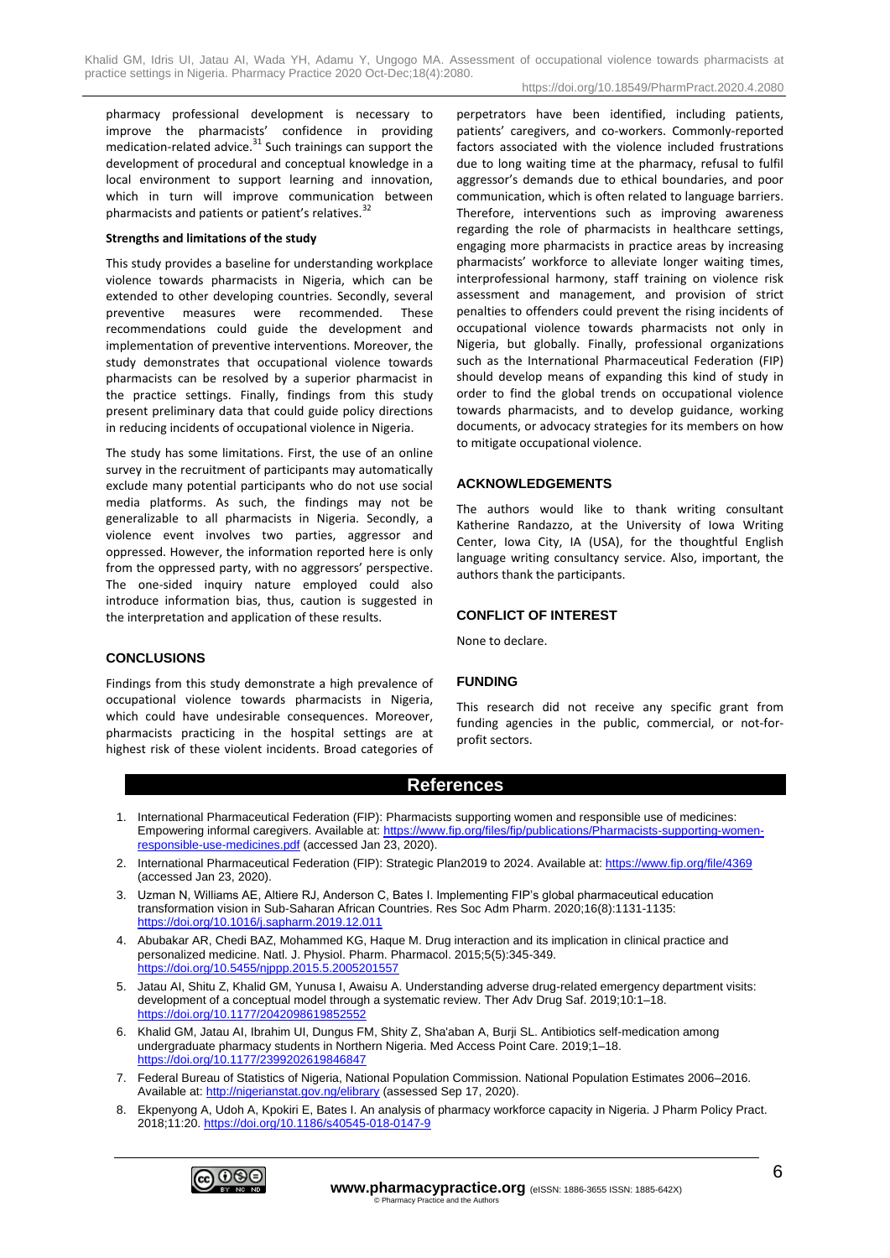https://doi.org/10.18549/PharmPract.2020.4.2080

pharmacy professional development is necessary to improve the pharmacists' confidence in providing medication-related advice. $31$  Such trainings can support the development of procedural and conceptual knowledge in a local environment to support learning and innovation, which in turn will improve communication between pharmacists and patients or patient's relatives.<sup>32</sup>

# **Strengths and limitations of the study**

This study provides a baseline for understanding workplace violence towards pharmacists in Nigeria, which can be extended to other developing countries. Secondly, several preventive measures were recommended. These recommendations could guide the development and implementation of preventive interventions. Moreover, the study demonstrates that occupational violence towards pharmacists can be resolved by a superior pharmacist in the practice settings. Finally, findings from this study present preliminary data that could guide policy directions in reducing incidents of occupational violence in Nigeria.

The study has some limitations. First, the use of an online survey in the recruitment of participants may automatically exclude many potential participants who do not use social media platforms. As such, the findings may not be generalizable to all pharmacists in Nigeria. Secondly, a violence event involves two parties, aggressor and oppressed. However, the information reported here is only from the oppressed party, with no aggressors' perspective. The one-sided inquiry nature employed could also introduce information bias, thus, caution is suggested in the interpretation and application of these results.

**CONCLUSIONS**

Findings from this study demonstrate a high prevalence of occupational violence towards pharmacists in Nigeria, which could have undesirable consequences. Moreover, pharmacists practicing in the hospital settings are at highest risk of these violent incidents. Broad categories of perpetrators have been identified, including patients, patients' caregivers, and co-workers. Commonly-reported factors associated with the violence included frustrations due to long waiting time at the pharmacy, refusal to fulfil aggressor's demands due to ethical boundaries, and poor communication, which is often related to language barriers. Therefore, interventions such as improving awareness regarding the role of pharmacists in healthcare settings, engaging more pharmacists in practice areas by increasing pharmacists' workforce to alleviate longer waiting times, interprofessional harmony, staff training on violence risk assessment and management, and provision of strict penalties to offenders could prevent the rising incidents of occupational violence towards pharmacists not only in Nigeria, but globally. Finally, professional organizations such as the International Pharmaceutical Federation (FIP) should develop means of expanding this kind of study in order to find the global trends on occupational violence towards pharmacists, and to develop guidance, working documents, or advocacy strategies for its members on how to mitigate occupational violence.

# **ACKNOWLEDGEMENTS**

The authors would like to thank writing consultant Katherine Randazzo, at the University of Iowa Writing Center, Iowa City, IA (USA), for the thoughtful English language writing consultancy service. Also, important, the authors thank the participants.

# **CONFLICT OF INTEREST**

None to declare.

# **FUNDING**

This research did not receive any specific grant from funding agencies in the public, commercial, or not-forprofit sectors.

# **References**

- 1. International Pharmaceutical Federation (FIP): Pharmacists supporting women and responsible use of medicines: Empowering informal caregivers. Available at[: https://www.fip.org/files/fip/publications/Pharmacists-supporting-women](https://www.fip.org/files/fip/publications/Pharmacists-supporting-women-responsible-use-medicines.pdf)[responsible-use-medicines.pdf](https://www.fip.org/files/fip/publications/Pharmacists-supporting-women-responsible-use-medicines.pdf) (accessed Jan 23, 2020).
- 2. International Pharmaceutical Federation (FIP): Strategic Plan2019 to 2024. Available at:<https://www.fip.org/file/4369> (accessed Jan 23, 2020).
- 3. Uzman N, Williams AE, Altiere RJ, Anderson C, Bates I. Implementing FIP's global pharmaceutical education transformation vision in Sub-Saharan African Countries. Res Soc Adm Pharm. 2020;16(8):1131-1135: <https://doi.org/10.1016/j.sapharm.2019.12.011>
- 4. Abubakar AR, Chedi BAZ, Mohammed KG, Haque M. Drug interaction and its implication in clinical practice and personalized medicine. Natl. J. Physiol. Pharm. Pharmacol. 2015;5(5):345-349. <https://doi.org/10.5455/njppp.2015.5.2005201557>
- 5. Jatau AI, Shitu Z, Khalid GM, Yunusa I, Awaisu A. Understanding adverse drug-related emergency department visits: development of a conceptual model through a systematic review. Ther Adv Drug Saf. 2019;10:1–18. <https://doi.org/10.1177/2042098619852552>
- 6. Khalid GM, Jatau AI, Ibrahim UI, Dungus FM, Shity Z, Sha'aban A, Burji SL. Antibiotics self-medication among undergraduate pharmacy students in Northern Nigeria. Med Access Point Care. 2019;1–18. <https://doi.org/10.1177/2399202619846847>
- 7. Federal Bureau of Statistics of Nigeria, National Population Commission. National Population Estimates 2006–2016. Available at: <http://nigerianstat.gov.ng/elibrary> (assessed Sep 17, 2020).
- 8. Ekpenyong A, Udoh A, Kpokiri E, Bates I. An analysis of pharmacy workforce capacity in Nigeria. J Pharm Policy Pract. 2018;11:20[. https://doi.org/10.1186/s40545-018-0147-9](https://doi.org/10.1186/s40545-018-0147-9)